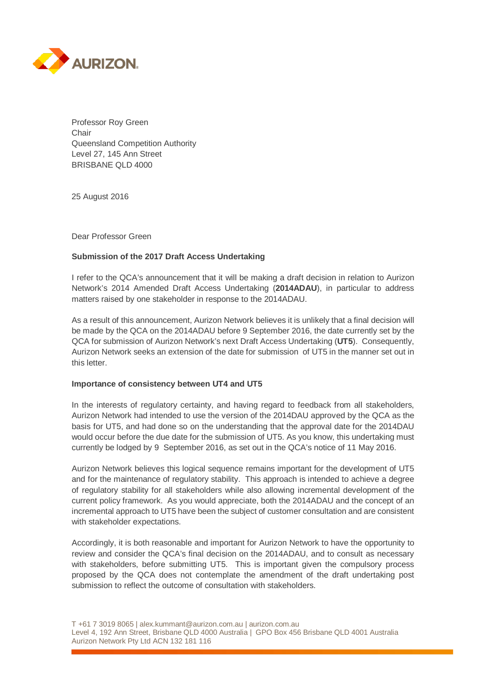

Professor Roy Green **Chair** Queensland Competition Authority Level 27, 145 Ann Street BRISBANE QLD 4000

25 August 2016

Dear Professor Green

## **Submission of the 2017 Draft Access Undertaking**

I refer to the QCA's announcement that it will be making a draft decision in relation to Aurizon Network's 2014 Amended Draft Access Undertaking (**2014ADAU**), in particular to address matters raised by one stakeholder in response to the 2014ADAU.

As a result of this announcement, Aurizon Network believes it is unlikely that a final decision will be made by the QCA on the 2014ADAU before 9 September 2016, the date currently set by the QCA for submission of Aurizon Network's next Draft Access Undertaking (**UT5**). Consequently, Aurizon Network seeks an extension of the date for submission of UT5 in the manner set out in this letter.

## **Importance of consistency between UT4 and UT5**

In the interests of regulatory certainty, and having regard to feedback from all stakeholders, Aurizon Network had intended to use the version of the 2014DAU approved by the QCA as the basis for UT5, and had done so on the understanding that the approval date for the 2014DAU would occur before the due date for the submission of UT5. As you know, this undertaking must currently be lodged by 9 September 2016, as set out in the QCA's notice of 11 May 2016.

Aurizon Network believes this logical sequence remains important for the development of UT5 and for the maintenance of regulatory stability. This approach is intended to achieve a degree of regulatory stability for all stakeholders while also allowing incremental development of the current policy framework. As you would appreciate, both the 2014ADAU and the concept of an incremental approach to UT5 have been the subject of customer consultation and are consistent with stakeholder expectations.

Accordingly, it is both reasonable and important for Aurizon Network to have the opportunity to review and consider the QCA's final decision on the 2014ADAU, and to consult as necessary with stakeholders, before submitting UT5. This is important given the compulsory process proposed by the QCA does not contemplate the amendment of the draft undertaking post submission to reflect the outcome of consultation with stakeholders.